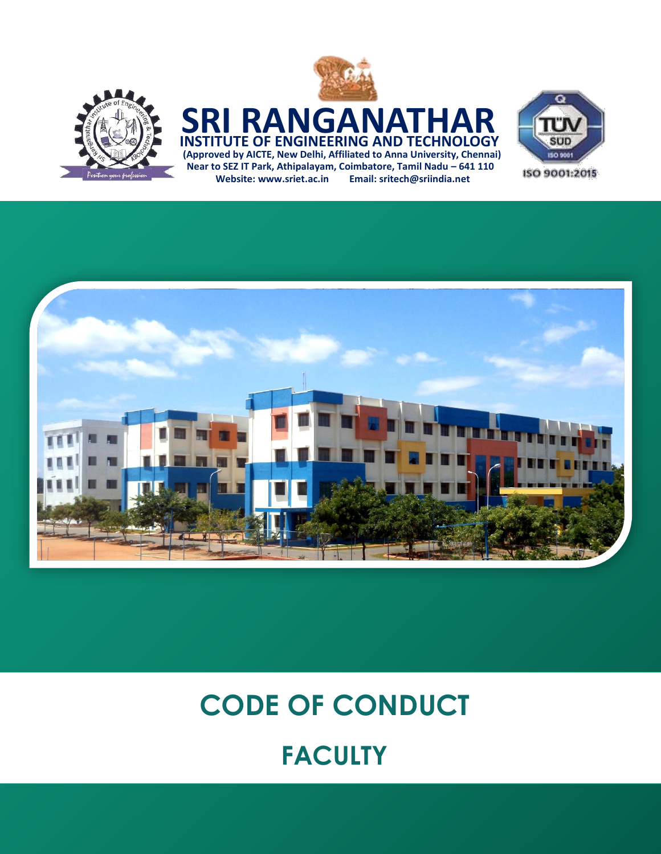

### **(Approved by AICTE, New Delhi, Affiliated to Anna University, Chennai) SRI RANGANATI INSTITUTE OF ENGINEERING AND TECHNOLOGY Near to SEZ IT Park, Athipalayam, Coimbatore, Tamil Nadu – 641 110**

**Website: [www.sriet.ac.in](http://www.sriet.ac.in/) Email: sritech@sriindia.net**





# **CODE OF CONDUCT FACULTY**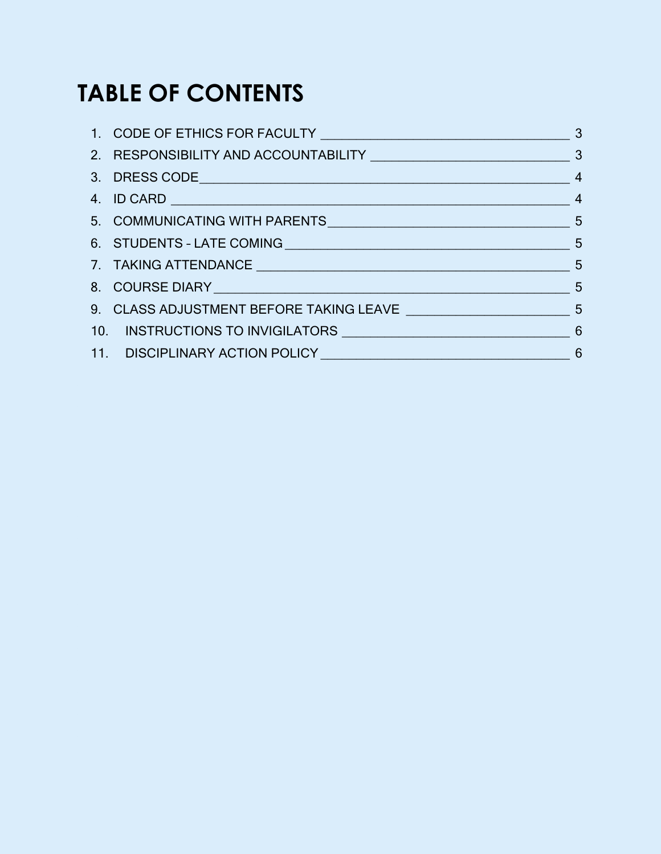## **TABLE OF CONTENTS**

| 6. STUDENTS - LATE COMING 5                                   |  |
|---------------------------------------------------------------|--|
|                                                               |  |
|                                                               |  |
|                                                               |  |
| 10. INSTRUCTIONS TO INVIGILATORS MANUSCRIPTION AND STRUCTIONS |  |
|                                                               |  |
|                                                               |  |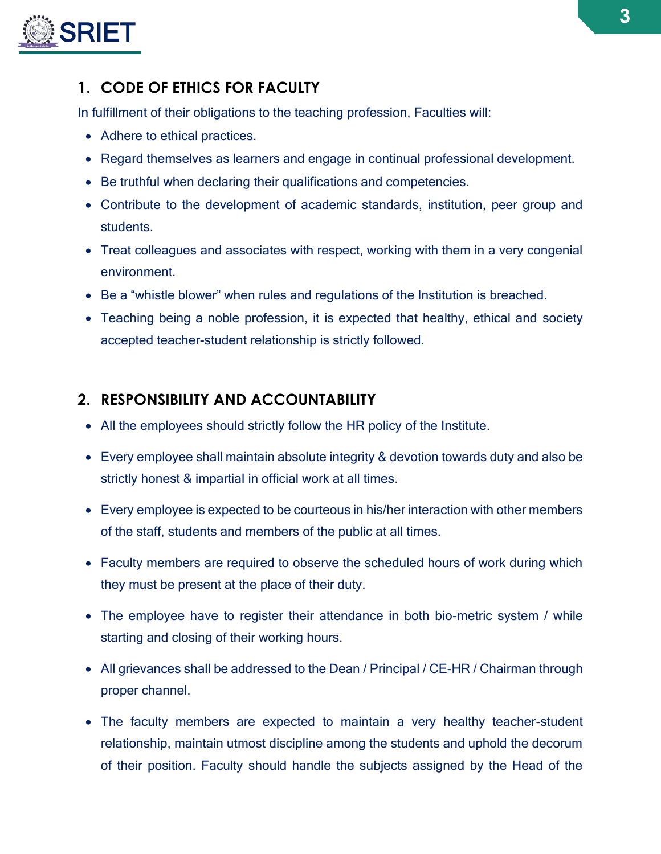

#### <span id="page-2-0"></span>**1. CODE OF ETHICS FOR FACULTY**

In fulfillment of their obligations to the teaching profession, Faculties will:

- Adhere to ethical practices.
- Regard themselves as learners and engage in continual professional development.
- Be truthful when declaring their qualifications and competencies.
- Contribute to the development of academic standards, institution, peer group and students.
- Treat colleagues and associates with respect, working with them in a very congenial environment.
- Be a "whistle blower" when rules and regulations of the Institution is breached.
- Teaching being a noble profession, it is expected that healthy, ethical and society accepted teacher-student relationship is strictly followed.

#### <span id="page-2-1"></span>**2. RESPONSIBILITY AND ACCOUNTABILITY**

- All the employees should strictly follow the HR policy of the Institute.
- Every employee shall maintain absolute integrity & devotion towards duty and also be strictly honest & impartial in official work at all times.
- Every employee is expected to be courteous in his/her interaction with other members of the staff, students and members of the public at all times.
- Faculty members are required to observe the scheduled hours of work during which they must be present at the place of their duty.
- The employee have to register their attendance in both bio-metric system / while starting and closing of their working hours.
- All grievances shall be addressed to the Dean / Principal / CE-HR / Chairman through proper channel.
- The faculty members are expected to maintain a very healthy teacher-student relationship, maintain utmost discipline among the students and uphold the decorum of their position. Faculty should handle the subjects assigned by the Head of the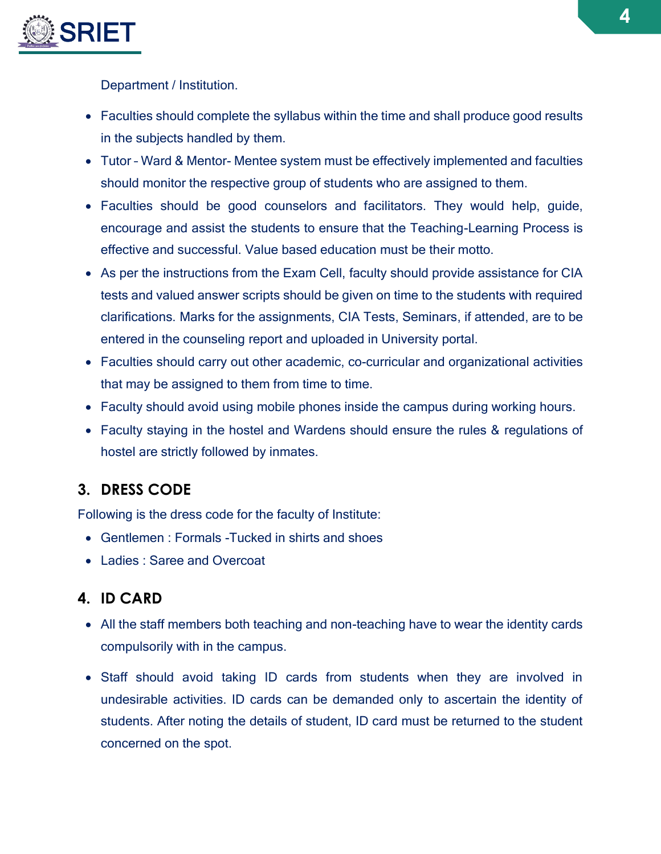

Department / Institution.

- Faculties should complete the syllabus within the time and shall produce good results in the subjects handled by them.
- Tutor Ward & Mentor- Mentee system must be effectively implemented and faculties should monitor the respective group of students who are assigned to them.
- Faculties should be good counselors and facilitators. They would help, guide, encourage and assist the students to ensure that the Teaching-Learning Process is effective and successful. Value based education must be their motto.
- As per the instructions from the Exam Cell, faculty should provide assistance for CIA tests and valued answer scripts should be given on time to the students with required clarifications. Marks for the assignments, CIA Tests, Seminars, if attended, are to be entered in the counseling report and uploaded in University portal.
- Faculties should carry out other academic, co-curricular and organizational activities that may be assigned to them from time to time.
- Faculty should avoid using mobile phones inside the campus during working hours.
- Faculty staying in the hostel and Wardens should ensure the rules & regulations of hostel are strictly followed by inmates.

#### <span id="page-3-0"></span>**3. DRESS CODE**

Following is the dress code for the faculty of Institute:

- Gentlemen : Formals Tucked in shirts and shoes
- Ladies : Saree and Overcoat

#### <span id="page-3-1"></span>**4. ID CARD**

- All the staff members both teaching and non-teaching have to wear the identity cards compulsorily with in the campus.
- Staff should avoid taking ID cards from students when they are involved in undesirable activities. ID cards can be demanded only to ascertain the identity of students. After noting the details of student, ID card must be returned to the student concerned on the spot.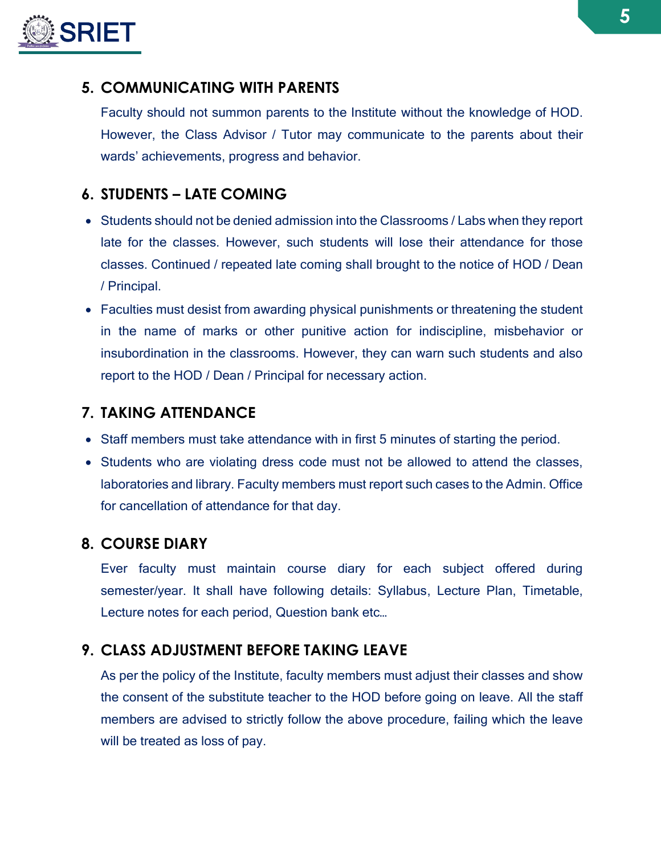

#### <span id="page-4-0"></span>**5. COMMUNICATING WITH PARENTS**

Faculty should not summon parents to the Institute without the knowledge of HOD. However, the Class Advisor / Tutor may communicate to the parents about their wards' achievements, progress and behavior.

#### <span id="page-4-1"></span>**6. STUDENTS – LATE COMING**

- Students should not be denied admission into the Classrooms / Labs when they report late for the classes. However, such students will lose their attendance for those classes. Continued / repeated late coming shall brought to the notice of HOD / Dean / Principal.
- Faculties must desist from awarding physical punishments or threatening the student in the name of marks or other punitive action for indiscipline, misbehavior or insubordination in the classrooms. However, they can warn such students and also report to the HOD / Dean / Principal for necessary action.

#### <span id="page-4-2"></span>**7. TAKING ATTENDANCE**

- Staff members must take attendance with in first 5 minutes of starting the period.
- Students who are violating dress code must not be allowed to attend the classes, laboratories and library. Faculty members must report such cases to the Admin. Office for cancellation of attendance for that day.

#### <span id="page-4-3"></span>**8. COURSE DIARY**

Ever faculty must maintain course diary for each subject offered during semester/year. It shall have following details: Syllabus, Lecture Plan, Timetable, Lecture notes for each period, Question bank etc…

#### <span id="page-4-4"></span>**9. CLASS ADJUSTMENT BEFORE TAKING LEAVE**

As per the policy of the Institute, faculty members must adjust their classes and show the consent of the substitute teacher to the HOD before going on leave. All the staff members are advised to strictly follow the above procedure, failing which the leave will be treated as loss of pay.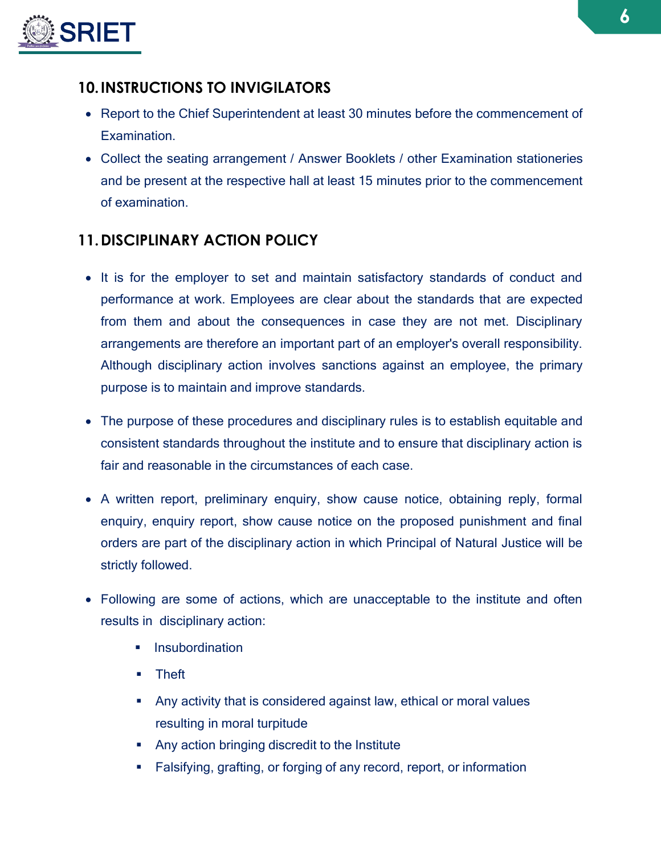

#### <span id="page-5-0"></span>**10.INSTRUCTIONS TO INVIGILATORS**

- Report to the Chief Superintendent at least 30 minutes before the commencement of Examination.
- Collect the seating arrangement / Answer Booklets / other Examination stationeries and be present at the respective hall at least 15 minutes prior to the commencement of examination.

#### <span id="page-5-1"></span>**11.DISCIPLINARY ACTION POLICY**

- It is for the employer to set and maintain satisfactory standards of conduct and performance at work. Employees are clear about the standards that are expected from them and about the consequences in case they are not met. Disciplinary arrangements are therefore an important part of an employer's overall responsibility. Although disciplinary action involves sanctions against an employee, the primary purpose is to maintain and improve standards.
- The purpose of these procedures and disciplinary rules is to establish equitable and consistent standards throughout the institute and to ensure that disciplinary action is fair and reasonable in the circumstances of each case.
- A written report, preliminary enquiry, show cause notice, obtaining reply, formal enquiry, enquiry report, show cause notice on the proposed punishment and final orders are part of the disciplinary action in which Principal of Natural Justice will be strictly followed.
- Following are some of actions, which are unacceptable to the institute and often results in disciplinary action:
	- **Insubordination**
	- **E** Theft
	- Any activity that is considered against law, ethical or moral values resulting in moral turpitude
	- **Any action bringing discredit to the Institute**
	- Falsifying, grafting, or forging of any record, report, or information